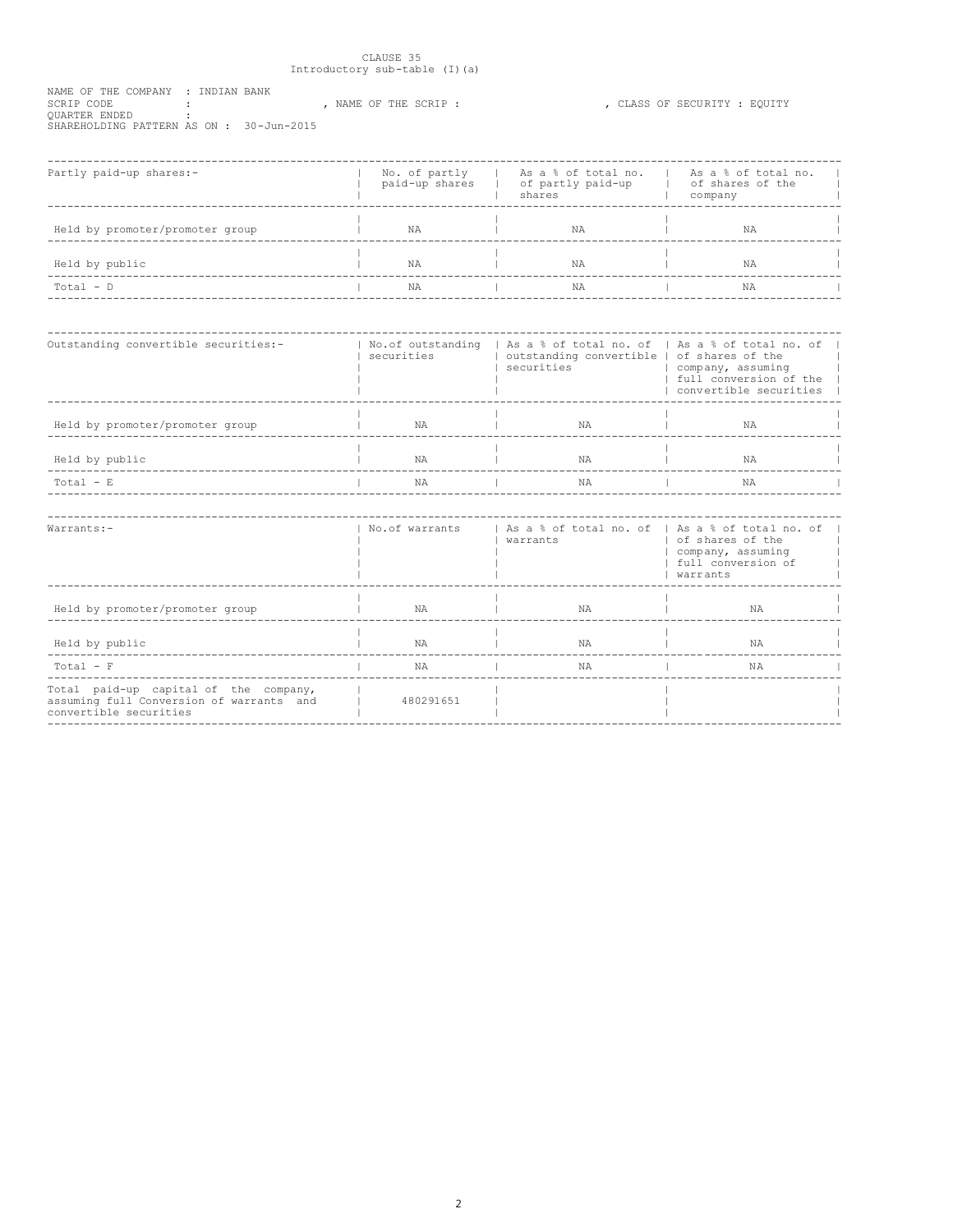# $\begin{tabular}{ll} \multicolumn{2}{l}{{\small\tt CLAUSE 35}}\\ \multicolumn{2}{l}{\small\tt Introducing sub-table (I) (a)} \end{tabular}$

| NAME OF THE COMPANY : INDIAN BANK       |  |                     |  |                              |  |
|-----------------------------------------|--|---------------------|--|------------------------------|--|
| SCRIP CODE                              |  | NAME OF THE SCRIP : |  | . CLASS OF SECURITY : EOUITY |  |
| OUARTER ENDED                           |  |                     |  |                              |  |
| SHAREHOLDING PATTERN AS ON: 30-Jun-2015 |  |                     |  |                              |  |

| Partly paid-up shares:-         | paid-up shares | No. of partly   As a % of total no.<br>  of partly paid-up<br>shares | As a % of total no.<br>of shares of the<br>company |  |
|---------------------------------|----------------|----------------------------------------------------------------------|----------------------------------------------------|--|
| Held by promoter/promoter group | NA             | ΝA                                                                   | ΝA                                                 |  |
| Held by public                  | NA             | ΝA                                                                   | ΝA                                                 |  |
| $Total - D$                     | NA             | ΝA                                                                   | NA                                                 |  |

| Outstanding convertible securities:- | No.of outstanding<br>securities | As a % of total no. of   As a % of total no. of<br>securities | outstanding convertible   of shares of the | company, assuming | full conversion of the<br>convertible securities |  |
|--------------------------------------|---------------------------------|---------------------------------------------------------------|--------------------------------------------|-------------------|--------------------------------------------------|--|
| Held by promoter/promoter group      | NA                              |                                                               | ΝA                                         |                   | ΝA                                               |  |
| Held by public                       | <b>NA</b>                       |                                                               | <b>NA</b>                                  |                   | NA                                               |  |
| $Total - E$                          | NA                              |                                                               | ΝA                                         |                   | ΝA                                               |  |
|                                      |                                 |                                                               |                                            |                   |                                                  |  |

| $Warrants:-$                                                                                                | No.of warrants | As a % of total no. of   As a % of total no. of<br>warrants | of shares of the<br>company, assuming<br>full conversion of<br>warrants |  |
|-------------------------------------------------------------------------------------------------------------|----------------|-------------------------------------------------------------|-------------------------------------------------------------------------|--|
| Held by promoter/promoter group                                                                             | NA             | NA                                                          | NA                                                                      |  |
| Held by public                                                                                              | NA             | NA                                                          | NA                                                                      |  |
| $Total - F$                                                                                                 | NA             | NA                                                          | NA                                                                      |  |
| Total paid-up capital of the company,<br>assuming full Conversion of warrants and<br>convertible securities | 480291651      |                                                             |                                                                         |  |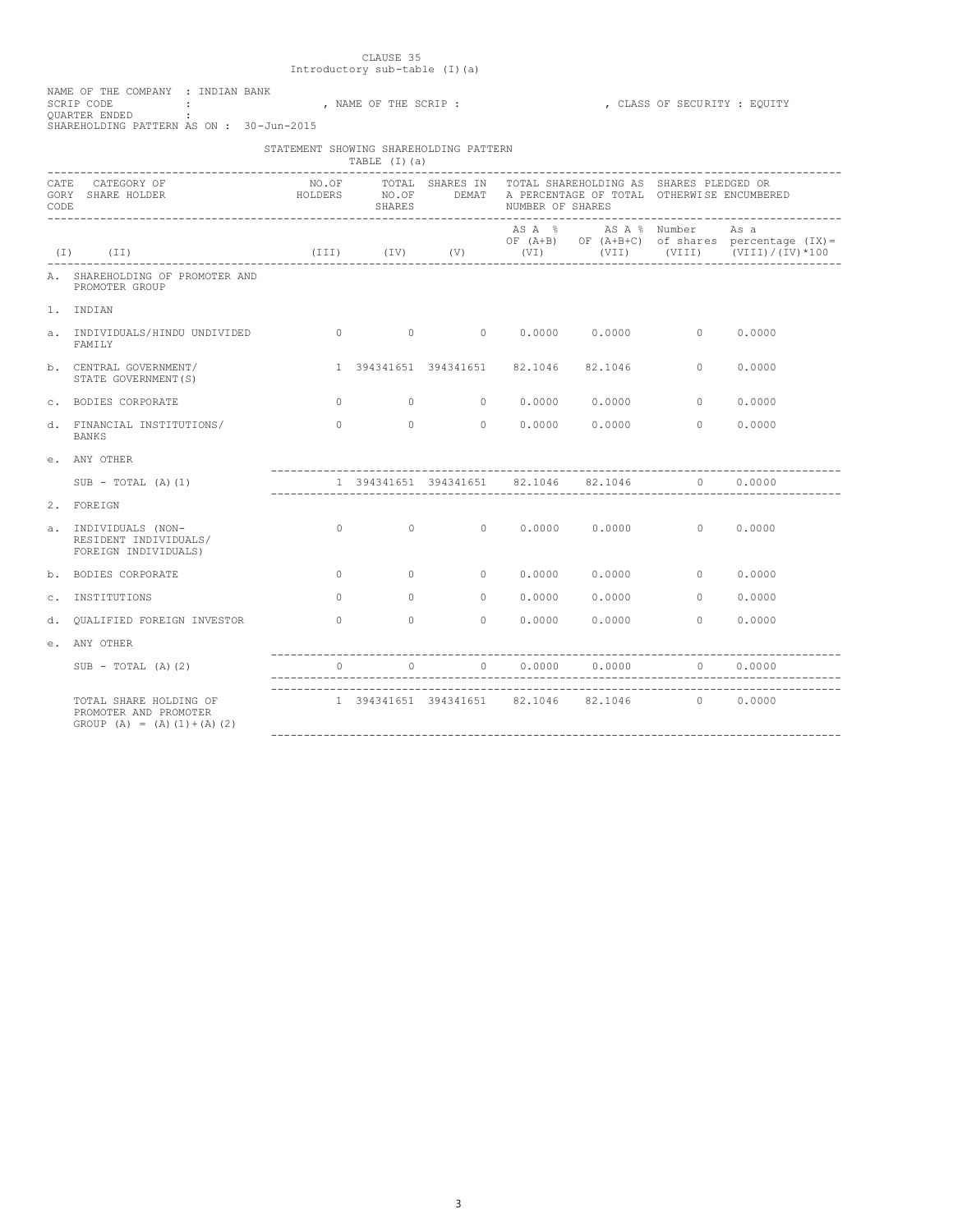| NAME OF THE COMPANY : INDIAN BANK       |  |  |  |  |                     |
|-----------------------------------------|--|--|--|--|---------------------|
| SCRIP CODE                              |  |  |  |  | . NAME OF THE SCRIE |
| OUARTER ENDED                           |  |  |  |  |                     |
| SHAREHOLDING PATTERN AS ON: 30-Jun-2015 |  |  |  |  |                     |
|                                         |  |  |  |  |                     |

## SCRIP : , NAME OF SECURITY : EQUITY

|                     |                                                                                                                           | STATEMENT SHOWING SHAREHOLDING PATTERN       |               |                                              |                  |                                                                                                                                 |            |                                                               |
|---------------------|---------------------------------------------------------------------------------------------------------------------------|----------------------------------------------|---------------|----------------------------------------------|------------------|---------------------------------------------------------------------------------------------------------------------------------|------------|---------------------------------------------------------------|
| <b>CATE</b><br>CODE | CATEGORY OF<br>GORY SHARE HOLDER                                                                                          |                                              | <b>SHARES</b> |                                              | NUMBER OF SHARES | NO.OF TOTAL SHARES IN TOTAL SHAREHOLDING AS SHARES PLEDGED OR<br>HOLDERS MO.OF DEMAT A PERCENTAGE OF TOTAL OTHERWISE ENCUMBERED |            |                                                               |
|                     | $(I)$ $(II)$                                                                                                              |                                              |               |                                              |                  | AS A % AS A % Number                                                                                                            |            | As a<br>OF $(A+B)$ OF $(A+B+C)$ of shares percentage $(IX) =$ |
|                     | A. SHAREHOLDING OF PROMOTER AND<br>PROMOTER GROUP                                                                         |                                              |               |                                              |                  |                                                                                                                                 |            |                                                               |
|                     | 1. INDIAN                                                                                                                 |                                              |               |                                              |                  |                                                                                                                                 |            |                                                               |
|                     | a. INDIVIDUALS/HINDU UNDIVIDED $\begin{array}{cccccccccc} 0 & 0 & 0 & 0 & 0.0000 & 0.0000 & 0 & 0 \end{array}$<br>FAMTI.Y |                                              |               |                                              |                  |                                                                                                                                 |            | 0.0000                                                        |
|                     | b. CENTRAL GOVERNMENT/<br>STATE GOVERNMENT (S)                                                                            |                                              |               |                                              |                  | 1 394341651 394341651 82.1046 82.1046 0                                                                                         |            | 0.0000                                                        |
|                     | c. BODIES CORPORATE                                                                                                       |                                              |               |                                              |                  |                                                                                                                                 |            | 0.0000                                                        |
|                     | d. FINANCIAL INSTITUTIONS/<br><b>BANKS</b>                                                                                |                                              |               |                                              |                  | $0$ 0 0.0000 0.0000 0                                                                                                           |            | 0.0000                                                        |
|                     | e. ANY OTHER                                                                                                              |                                              |               |                                              |                  |                                                                                                                                 |            |                                                               |
|                     | $SUB - TOTAL (A) (1)$                                                                                                     |                                              |               |                                              |                  | 1 394341651 394341651 82.1046 82.1046 0 0.0000                                                                                  |            |                                                               |
|                     | 2. FOREIGN                                                                                                                |                                              |               |                                              |                  |                                                                                                                                 |            |                                                               |
|                     | a. INDIVIDUALS (NON-<br>RESIDENT INDIVIDUALS/<br>FOREIGN INDIVIDUALS)                                                     |                                              |               |                                              |                  | $0$ 0 0 0.0000 0.0000 0 0.0000                                                                                                  |            |                                                               |
|                     | b. BODIES CORPORATE                                                                                                       |                                              |               |                                              |                  | $0$ 0 0 0.0000 0.0000 0 0.0000                                                                                                  |            |                                                               |
|                     | c. INSTITUTIONS                                                                                                           | $\Omega$                                     |               | $\begin{array}{ccc} & & & & 0 & \end{array}$ |                  |                                                                                                                                 |            | 0.0000                                                        |
| d.                  | OUALIFIED FOREIGN INVESTOR                                                                                                | $\begin{matrix}0&0&0&0&0&0.0000\end{matrix}$ |               |                                              |                  |                                                                                                                                 | $0.0000$ 0 | 0.0000                                                        |
|                     | e. ANY OTHER                                                                                                              |                                              |               |                                              |                  |                                                                                                                                 |            |                                                               |
|                     | $SUB - TOTAL (A) (2)$                                                                                                     |                                              |               |                                              |                  | $0 \qquad \qquad 0 \qquad \qquad 0.0000 \qquad \qquad 0.0000 \qquad \qquad 0 \qquad \qquad 0.0000$                              |            |                                                               |
|                     | TOTAL SHARE HOLDING OF<br>PROMOTER AND PROMOTER<br>GROUP $(A) = (A) (1) + (A) (2)$                                        |                                              |               |                                              |                  | 1 394341651 394341651 82.1046 82.1046 0 0.0000                                                                                  |            |                                                               |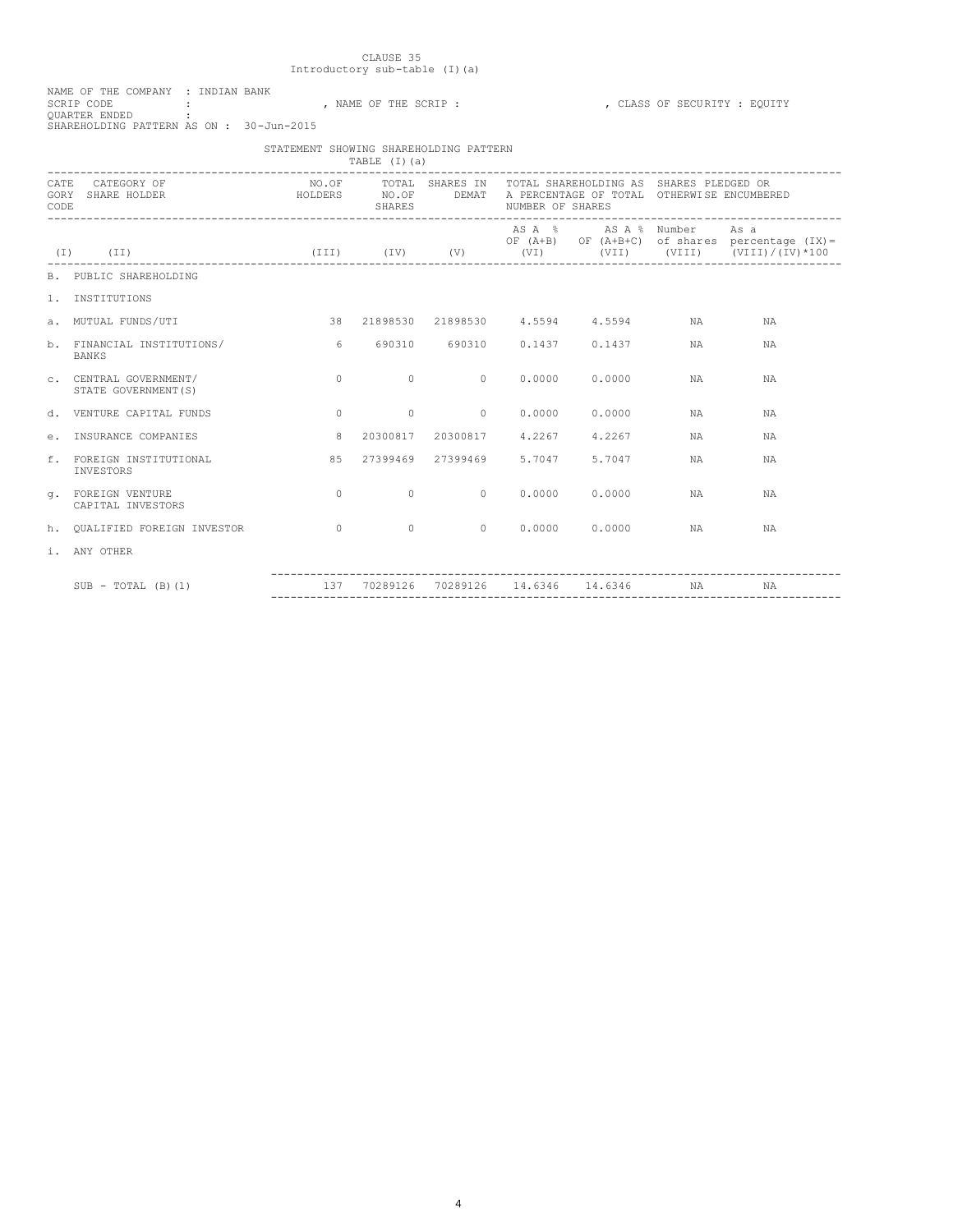| NAME OF THE COMPANY : INDIAN BANK       |  |  |                    |  |  |
|-----------------------------------------|--|--|--------------------|--|--|
| SCRIP CODE                              |  |  | . NAME OF THE SCRI |  |  |
| OUARTER ENDED                           |  |  |                    |  |  |
| SHAREHOLDING PATTERN AS ON: 30-Jun-2015 |  |  |                    |  |  |
|                                         |  |  |                    |  |  |

## THE SCRIP : ,  $CLASS OF SECURITY : EQUITY$

|                     |                                                | STATEMENT SHOWING SHAREHOLDING PATTERN | TABLE $(I)(a)$ |                |                          |                                                               |              |                                                                                                                                                                        |
|---------------------|------------------------------------------------|----------------------------------------|----------------|----------------|--------------------------|---------------------------------------------------------------|--------------|------------------------------------------------------------------------------------------------------------------------------------------------------------------------|
| <b>CATE</b><br>CODE | CATEGORY OF<br>GORY SHARE HOLDER               |                                        |                |                |                          |                                                               |              |                                                                                                                                                                        |
|                     | $(I)$ $(II)$                                   |                                        |                |                |                          | ASA % ASA % Number                                            |              | As a<br>OF $(A+B)$ OF $(A+B+C)$ of shares percentage $(IX) =$<br>(III) (IV) (V) (VI) (VII) (VIII) (VIII) (VIII) (VIII) (VIII) (VIII) (UIII) (IV) (IV) (IV) (IV) (IV) ( |
|                     | <b>B. PUBLIC SHAREHOLDING</b>                  |                                        |                |                |                          |                                                               |              |                                                                                                                                                                        |
|                     | 1. INSTITUTIONS                                |                                        |                |                |                          |                                                               |              |                                                                                                                                                                        |
|                     | a. MUTUAL FUNDS/UTI                            |                                        |                |                |                          | 38  21898530  21898530  4.5594  4.5594  NA                    |              | <b>NA</b>                                                                                                                                                              |
|                     | b. FINANCIAL INSTITUTIONS/<br><b>BANKS</b>     |                                        |                |                |                          | 6 690310 690310 0.1437 0.1437                                 | NA NA        | <b>NA</b>                                                                                                                                                              |
|                     | C. CENTRAL GOVERNMENT/<br>STATE GOVERNMENT (S) | $\Omega$                               | $\sim$ 0       |                |                          | $0 \t 0.0000 \t 0.0000$                                       | <b>NA</b>    | <b>NA</b>                                                                                                                                                              |
|                     | d. VENTURE CAPITAL FUNDS                       | $\cap$                                 | $\overline{0}$ | $\overline{0}$ |                          | 0.0000000000                                                  | NA           | <b>NA</b>                                                                                                                                                              |
|                     | e. INSURANCE COMPANIES                         | 8                                      |                |                |                          | 20300817 20300817 4.2267 4.2267                               | NA NA        | NA                                                                                                                                                                     |
|                     | f. FOREIGN INSTITUTIONAL<br>INVESTORS          | 8.5                                    |                |                | 27399469 27399469 5.7047 | 5.7047                                                        | <b>NA</b>    | <b>NA</b>                                                                                                                                                              |
|                     | a. FOREIGN VENTURE<br>CAPITAL INVESTORS        | $\cap$                                 |                |                |                          | $0 \qquad \qquad 0 \qquad \qquad 0.0000 \qquad \qquad 0.0000$ | NA           | NA                                                                                                                                                                     |
|                     | h. OUALIFIED FOREIGN INVESTOR                  | $\overline{a}$                         |                |                |                          | $0 \qquad \qquad 0 \qquad \qquad 0.0000 \qquad \qquad 0.0000$ | NA <b>NA</b> | <b>NA</b>                                                                                                                                                              |
|                     | i. ANY OTHER                                   |                                        |                |                |                          |                                                               |              |                                                                                                                                                                        |
|                     | $SUB - TOTAL (B) (1)$                          | 137 70289126 70289126 14.6346 14.6346  |                |                |                          |                                                               | NA           | NA                                                                                                                                                                     |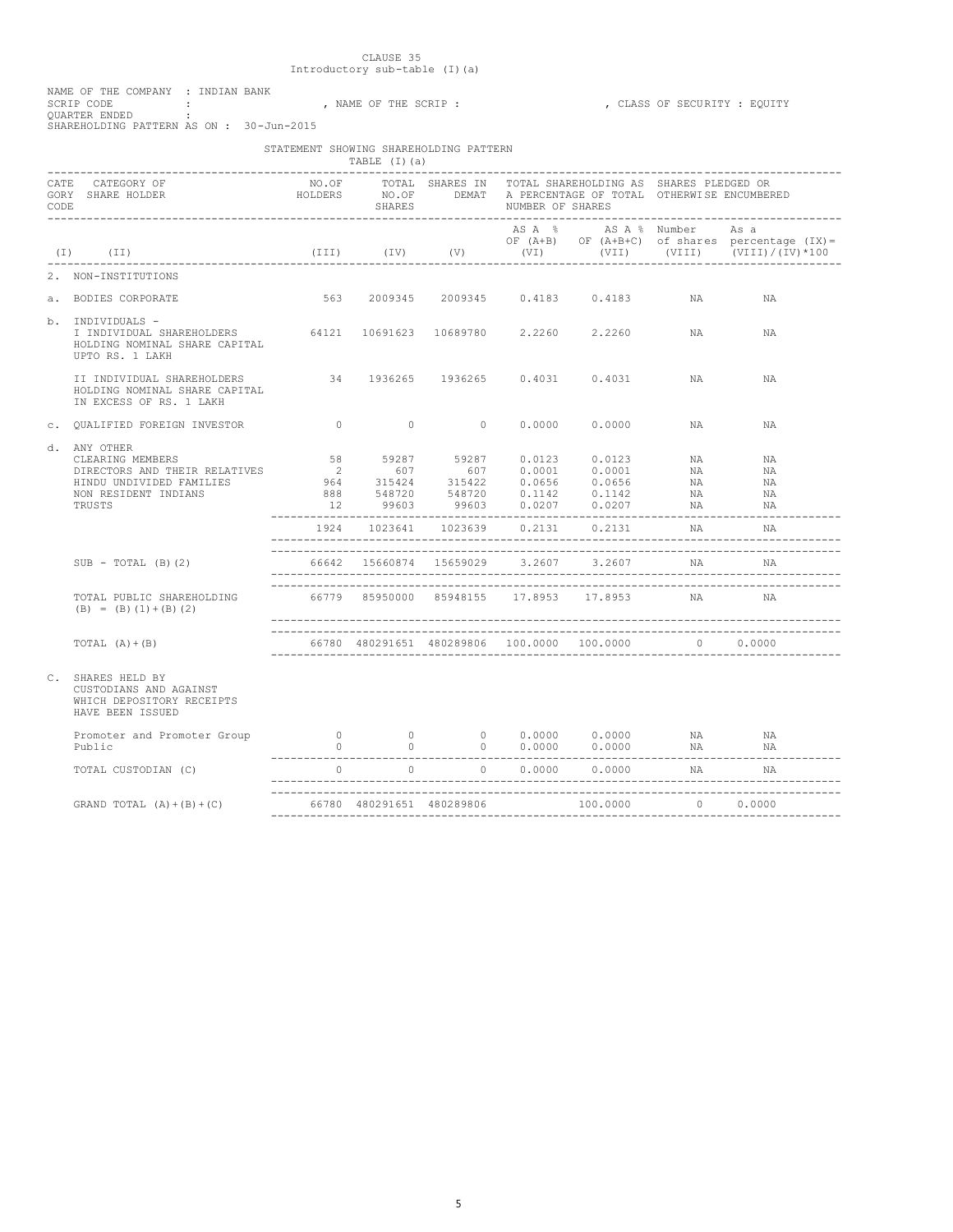| NAME OF THE COMPANY : INDIAN BANK       |  |  |             |  |
|-----------------------------------------|--|--|-------------|--|
| SCRIP CODE                              |  |  | . NAME OF T |  |
| OUARTER ENDED                           |  |  |             |  |
| SHAREHOLDING PATTERN AS ON: 30-Jun-2015 |  |  |             |  |

#### F THE SCRIP : , , CLASS OF SECURITY : EQUITY

|                                                                                                                                                                                                                                      | STATEMENT SHOWING SHAREHOLDING PATTERN | TABLE (I)(a) |  |                                                                                                                                                                                                                                                                                                                                |          |                                                                                                              |
|--------------------------------------------------------------------------------------------------------------------------------------------------------------------------------------------------------------------------------------|----------------------------------------|--------------|--|--------------------------------------------------------------------------------------------------------------------------------------------------------------------------------------------------------------------------------------------------------------------------------------------------------------------------------|----------|--------------------------------------------------------------------------------------------------------------|
| CATE CATEGORY OF TRIES IN TOTAL SHARE AND TOTAL SHARE CATEGORY OF TRIES OR TRIES IN TOTAL SHARE CORY SHARE SPIEDGED OR<br>GORY SHARE HOLDER SHOLDERS NO.OF DEMAT A PERCENTAGE OF TOTAL OTHERWISE ENCUMBERED<br>CODE SHARES NUMBER OF |                                        |              |  |                                                                                                                                                                                                                                                                                                                                |          |                                                                                                              |
| $(I)$ $(II)$                                                                                                                                                                                                                         |                                        |              |  | ASA % ASA % Number Asa                                                                                                                                                                                                                                                                                                         |          | OF (A+B) OF (A+B+C) of shares percentage (IX)=<br>(III) (IV) (V) (VI) (VIII) (VIII) $(TI) / (IV) \times 100$ |
| 2. NON-INSTITUTIONS                                                                                                                                                                                                                  |                                        |              |  |                                                                                                                                                                                                                                                                                                                                |          |                                                                                                              |
| a. BODIES CORPORATE                                                                                                                                                                                                                  |                                        |              |  | 563 2009345 2009345 0.4183 0.4183                                                                                                                                                                                                                                                                                              | NA       | ΝA                                                                                                           |
| b. INDIVIDUALS -<br>I INDIVIDUAL SHAREHOLDERS 64121 10691623 10689780 2.2260 2.2260 NA NA<br>HOLDING NOMINAL SHARE CAPITAL<br>UPTO RS. 1 LAKH                                                                                        |                                        |              |  |                                                                                                                                                                                                                                                                                                                                |          |                                                                                                              |
| HOLDING NOMINAL SHARE CAPITAL<br>IN EXCESS OF RS. 1 LAKH                                                                                                                                                                             |                                        |              |  |                                                                                                                                                                                                                                                                                                                                |          | NA                                                                                                           |
| c. OUALIFIED FOREIGN INVESTOR                                                                                                                                                                                                        |                                        |              |  | 0 0 0 0.0000 0.0000 NA                                                                                                                                                                                                                                                                                                         |          | <b>NA</b>                                                                                                    |
| d. ANY OTHER<br>CLEARING MEMBERS<br>DIRECTORS AND THEIR RELATIVES<br>HINDU UNDIVIDED FAMILIES<br>NON RESIDENT INDIANS<br>TRUSTS                                                                                                      |                                        |              |  | $\begin{array}{cccccccc} 58 & & 59287 & & 59287 & & 0.0123 & & 0.0123 & & \text{NA} \\ 2 & & 607 & & 607 & & 0.0001 & & 0.0001 & & \text{NA} \\ 964 & & 315424 & & 315422 & & 0.0656 & & 0.0656 & & \text{NA} \\ 888 & & 548720 & & 548720 & & 0.1142 & & 0.1142 & & \text{NA} \end{array}$<br>12 99603 99603 0.0207 0.0207 NA | NA       | NA<br>NA<br>NA<br>NA<br>NA<br>-------------                                                                  |
|                                                                                                                                                                                                                                      |                                        |              |  | 1924 1023641 1023639 0.2131 0.2131                                                                                                                                                                                                                                                                                             | NA       | NA                                                                                                           |
| $SUB - TOTAL (B) (2)$                                                                                                                                                                                                                |                                        |              |  | 66642 15660874 15659029 3.2607 3.2607 NA                                                                                                                                                                                                                                                                                       |          | NA                                                                                                           |
| TOTAL PUBLIC SHAREHOLDING<br>$(B) = (B) (1) + (B) (2)$                                                                                                                                                                               |                                        |              |  | 66779 85950000 85948155 17.8953 17.8953 NA                                                                                                                                                                                                                                                                                     |          | <b>NA</b>                                                                                                    |
| TOTAL $(A) + (B)$                                                                                                                                                                                                                    |                                        |              |  | 66780 480291651 480289806 100.0000 100.0000 0 0.0000                                                                                                                                                                                                                                                                           |          |                                                                                                              |
| C. SHARES HELD BY<br>CUSTODIANS AND AGAINST<br>WHICH DEPOSITORY RECEIPTS<br>HAVE BEEN ISSUED                                                                                                                                         |                                        |              |  |                                                                                                                                                                                                                                                                                                                                |          |                                                                                                              |
| Promoter and Promoter Group<br>Public                                                                                                                                                                                                |                                        |              |  | 0 0 0 0.0000 0.0000 NA<br>0 0 0 0.0000 0.0000 NA                                                                                                                                                                                                                                                                               |          | NA<br>NA 1939.                                                                                               |
| TOTAL CUSTODIAN (C)                                                                                                                                                                                                                  |                                        |              |  | $0 \qquad \qquad 0 \qquad \qquad 0 \qquad \qquad 0.0000 \qquad \qquad 0.0000$                                                                                                                                                                                                                                                  | NA       |                                                                                                              |
| GRAND TOTAL $(A) + (B) + (C)$                                                                                                                                                                                                        |                                        |              |  | 100.0000                                                                                                                                                                                                                                                                                                                       | 0 0.0000 |                                                                                                              |
|                                                                                                                                                                                                                                      |                                        |              |  |                                                                                                                                                                                                                                                                                                                                |          |                                                                                                              |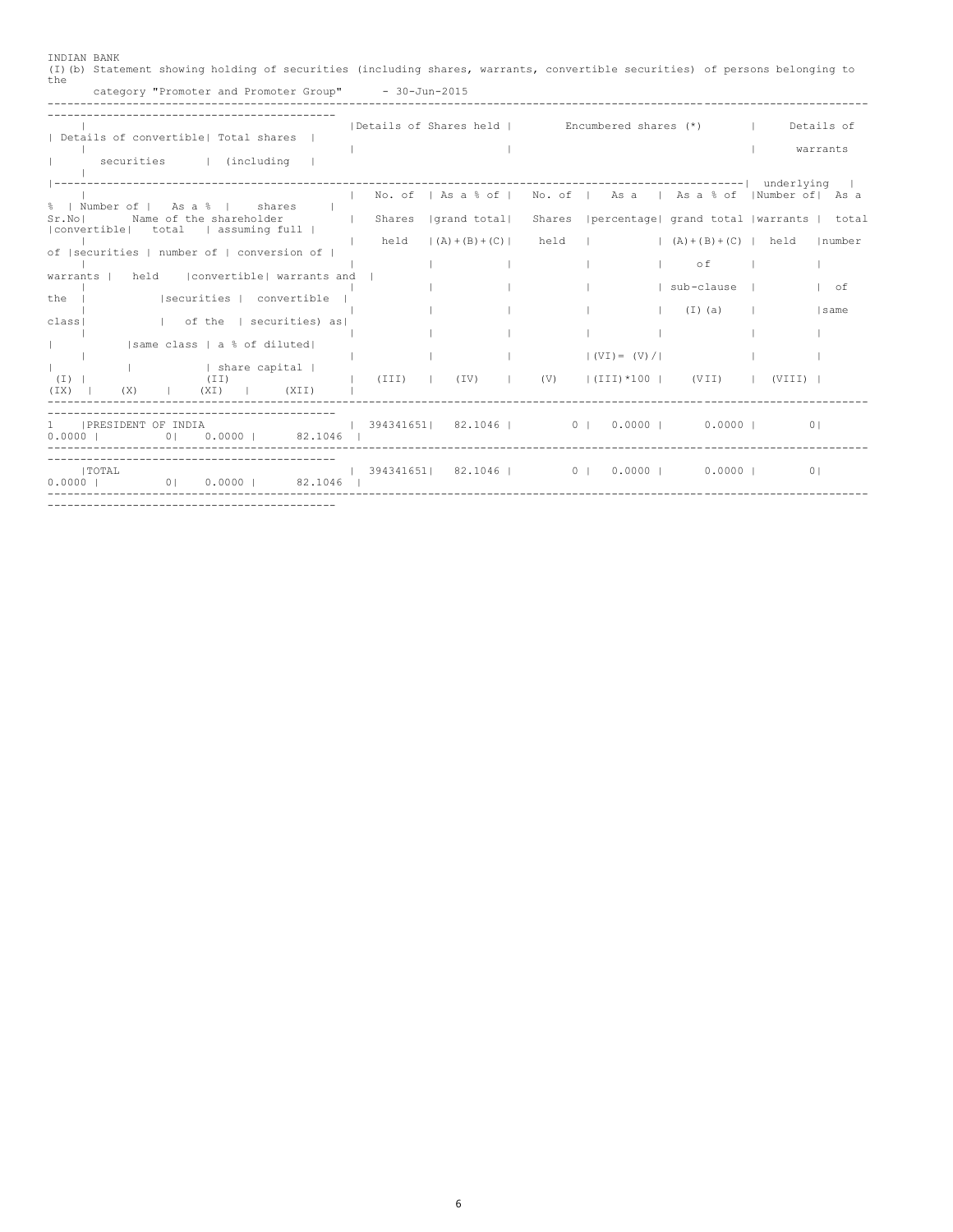| INDIAN BANK<br>(I) (b) Statement showing holding of securities (including shares, warrants, convertible securities) of persons belonging to<br>the<br>category "Promoter and Promoter Group" - 30-Jun-2015 |        |                                                                                   |      |                  |                                                     |                        |
|------------------------------------------------------------------------------------------------------------------------------------------------------------------------------------------------------------|--------|-----------------------------------------------------------------------------------|------|------------------|-----------------------------------------------------|------------------------|
| Details of convertible  Total shares  <br>securities   (including                                                                                                                                          |        | Details of Shares held   Encumbered shares (*)                                    |      |                  |                                                     | Details of<br>warrants |
| %   Number of   As a %   shares<br>Name of the shareholder<br>Sr.Nol<br>  convertible  total   assuming full                                                                                               | Shares | No. of   As a % of   No. of   As a   As a % of   Number of   As a<br> grand total |      |                  | Shares   percentage  grand total   warrants   total |                        |
| of  securities   number of   conversion of  <br>convertible  warrants and<br>held<br>warrants                                                                                                              | held   | $(A) + (B) + (C)$                                                                 | held |                  | $(A)+(B)+(C)$ held<br>оf<br>sub-clause              | Inumber<br>$I$ of      |
| Isecurities   convertible<br>the I<br>  of the   securities) as<br>classi                                                                                                                                  |        |                                                                                   |      |                  | (I)(a)                                              | same                   |
| same class   a % of diluted <br>  share capital  <br><b>Contract Contract</b><br>(I)<br>(TI)<br>$(IX)   (X)   (X)$ (XI)   $(XII)$                                                                          | (III)  | $(IV)$ $(IV)$ $(V)$ $(III) *100$ $(VII)$ $(VIII)$                                 |      | $(VV) = (V) /  $ |                                                     |                        |
| $\mathbf{1}$<br>IPRESIDENT OF INDIA<br>$0.00001$ 82.1046 I<br>0.00001<br>0 <sub>1</sub>                                                                                                                    |        | $\vert$ 394341651  82.1046   0   0.0000   0.0000                                  |      |                  |                                                     | 0 <sup>1</sup>         |
| ------------------------------------<br>I TOTAL<br>0 0.0000 0 82.1046 1<br>0.00001                                                                                                                         |        | $1$ 394341651 82.1046 0 0 0.0000 0.0000 0.0000 0                                  |      |                  |                                                     | 0 <sub>1</sub>         |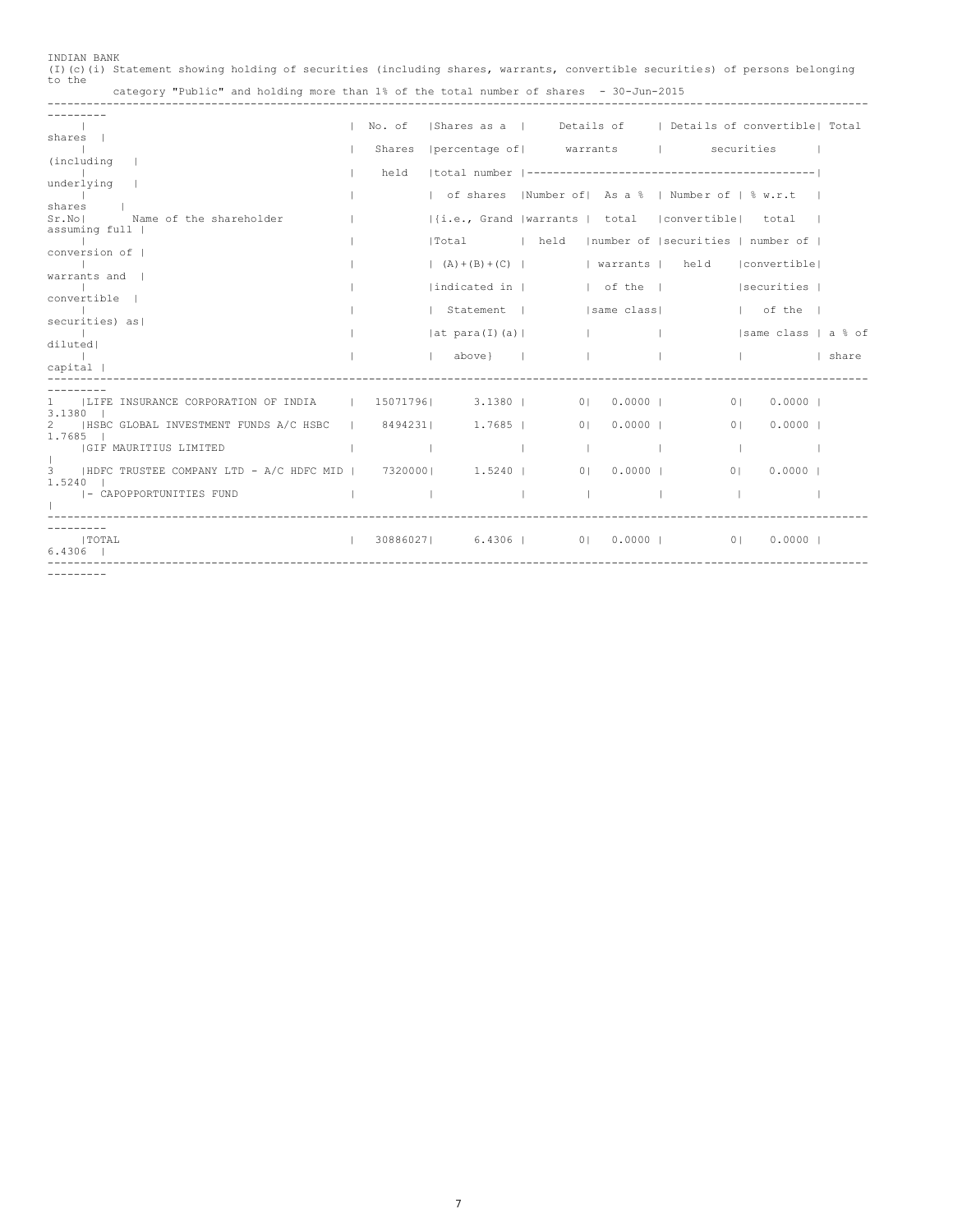| INDIAN BANK |  |  |  |                                                                                        |                                                                                                                             |  |
|-------------|--|--|--|----------------------------------------------------------------------------------------|-----------------------------------------------------------------------------------------------------------------------------|--|
|             |  |  |  |                                                                                        | (I)(c)(i) Statement showing holding of securities (including shares, warrants, convertible securities) of persons belonging |  |
| to the      |  |  |  |                                                                                        |                                                                                                                             |  |
|             |  |  |  | category "Public" and holding more than 1% of the total number of shares - 30-Jun-2015 |                                                                                                                             |  |

-----------------------------------------------------------------------------------------------------------------------------

|                                                                                             | No. of |                                | Shares as a   Details of   Details of convertible  Total   |                          |  |
|---------------------------------------------------------------------------------------------|--------|--------------------------------|------------------------------------------------------------|--------------------------|--|
| shares                                                                                      |        |                                | Shares   percentage of   warrants   securities             |                          |  |
| (including)                                                                                 |        |                                |                                                            |                          |  |
| underlying                                                                                  | held   |                                |                                                            |                          |  |
|                                                                                             |        |                                | of shares   Number of   As a %   Number of   % w.r.t       |                          |  |
| shares I<br>Sr.Nol<br>Name of the shareholder                                               |        |                                | $ \{i.e., Grand  variants   total   convertible   total  $ |                          |  |
| assuming full                                                                               |        |                                |                                                            |                          |  |
| conversion of                                                                               |        |                                | Total   held   number of   securities   number of          |                          |  |
|                                                                                             |        |                                | $(A)+(B)+(C)$   warrants   held   convertible              |                          |  |
| warrants and                                                                                |        |                                |                                                            |                          |  |
| convertible                                                                                 |        |                                |                                                            |                          |  |
| securities) as                                                                              |        |                                |                                                            | $ $ of the $ $           |  |
|                                                                                             |        |                                | $ $ at para(I)(a) $ $ $ $ $ $ $ $                          | same class   a % of      |  |
| diluted!                                                                                    |        |                                |                                                            |                          |  |
| capital                                                                                     |        | $\vert$ above} $\vert$ $\vert$ |                                                            | share                    |  |
|                                                                                             |        |                                |                                                            |                          |  |
| LIFE INSURANCE CORPORATION OF INDIA   15071796  3.1380   0 0.0000                           |        |                                |                                                            | 0  0.0000                |  |
| $3.1380$ $\vert$                                                                            |        |                                |                                                            |                          |  |
| HSBC GLOBAL INVESTMENT FUNDS A/C HSBC   8494231  1.7685  <br>1.7685                         |        |                                | 0  0.0000                                                  | 01<br>$0.0000$           |  |
| IGIF MAURITIUS LIMITED                                                                      | - 11   |                                | $\sim$ 1.000<br>$\sim$ 1                                   | <b>Contract Contract</b> |  |
| 3   HDFC TRUSTEE COMPANY LTD - A/C HDFC MID   7320000  1.5240   0   0.0000                  |        |                                |                                                            | 01<br>0.00001            |  |
| 1.5240                                                                                      |        |                                |                                                            |                          |  |
| the contract of the contract of the contract of the contract of<br> - CAPOPPORTUNITIES FUND |        |                                |                                                            |                          |  |
|                                                                                             |        |                                |                                                            |                          |  |
| I TOTAL<br>the contract of the contract of the                                              |        |                                | 30886027  6.4306   0  0.0000   0  0.0000                   |                          |  |
| $6.4306$ $\pm$                                                                              |        |                                |                                                            |                          |  |
|                                                                                             |        |                                |                                                            |                          |  |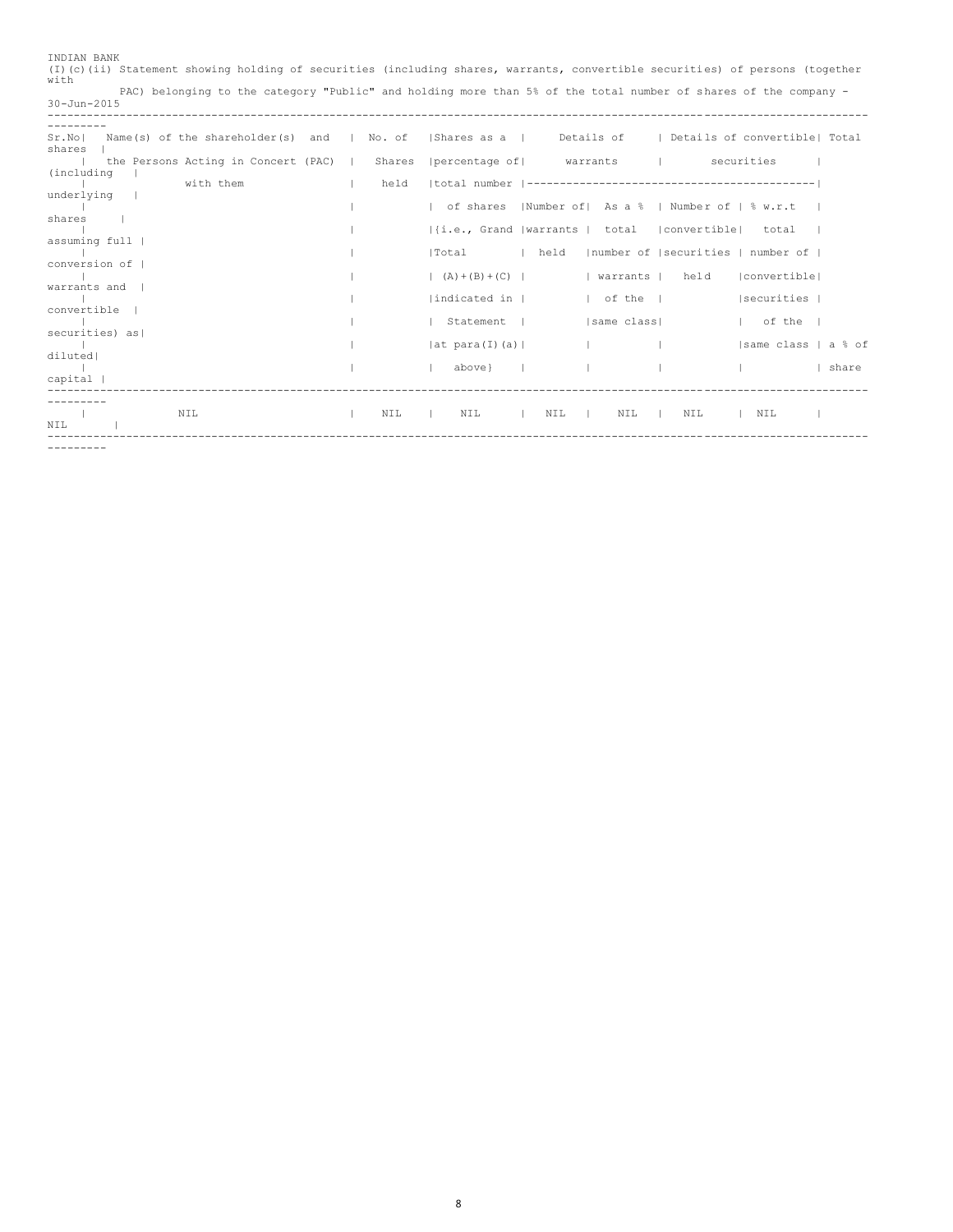| with                                                  |          | (I)(c)(ii) Statement showing holding of securities (including shares, warrants, convertible securities) of persons (together |
|-------------------------------------------------------|----------|------------------------------------------------------------------------------------------------------------------------------|
| $30 - Jun - 2015$                                     |          | PAC) belonging to the category "Public" and holding more than 5% of the total number of shares of the company -              |
| -------                                               |          |                                                                                                                              |
| Name(s) of the shareholder(s) and<br>Sr.Nol<br>shares | I No. of | Details of   Details of convertible  Total<br>  Shares as a                                                                  |
| the Persons Acting in Concert (PAC)  <br>(including   | Shares   | percentage of warrants  <br>securities                                                                                       |
| with them<br>underlying                               | held     |                                                                                                                              |
| shares                                                |          | of shares   Number of   As a %   Number of   % w.r.t                                                                         |
| assuming full                                         |          | $ i.e.,$ Grand  warrants   total  convertible  total                                                                         |
| conversion of                                         |          | Inumber of Isecurities   number of  <br>l held<br>lTotal                                                                     |
|                                                       |          | held<br> convertible <br>$(A) + (B) + (C)$<br>  warrants                                                                     |
| warrants and                                          |          | indicated in  <br>  securities  <br>$ $ of the $ $                                                                           |
| convertible                                           |          | Statement  <br> same class <br>of the I                                                                                      |
| securities) as                                        |          | same class   a % of<br> at para(I) (a)                                                                                       |
| diluted                                               |          | above}<br><b>Contract Contract</b><br>  share                                                                                |
| $capital$                                             |          |                                                                                                                              |
| NIL<br>NIL                                            | NIL      | NIL<br>NIL<br>NIL<br>NIL<br>NIL<br>$\mathbf{r}$<br>$\sim$ 1.000 $\sim$                                                       |

INDIAN BANK

---------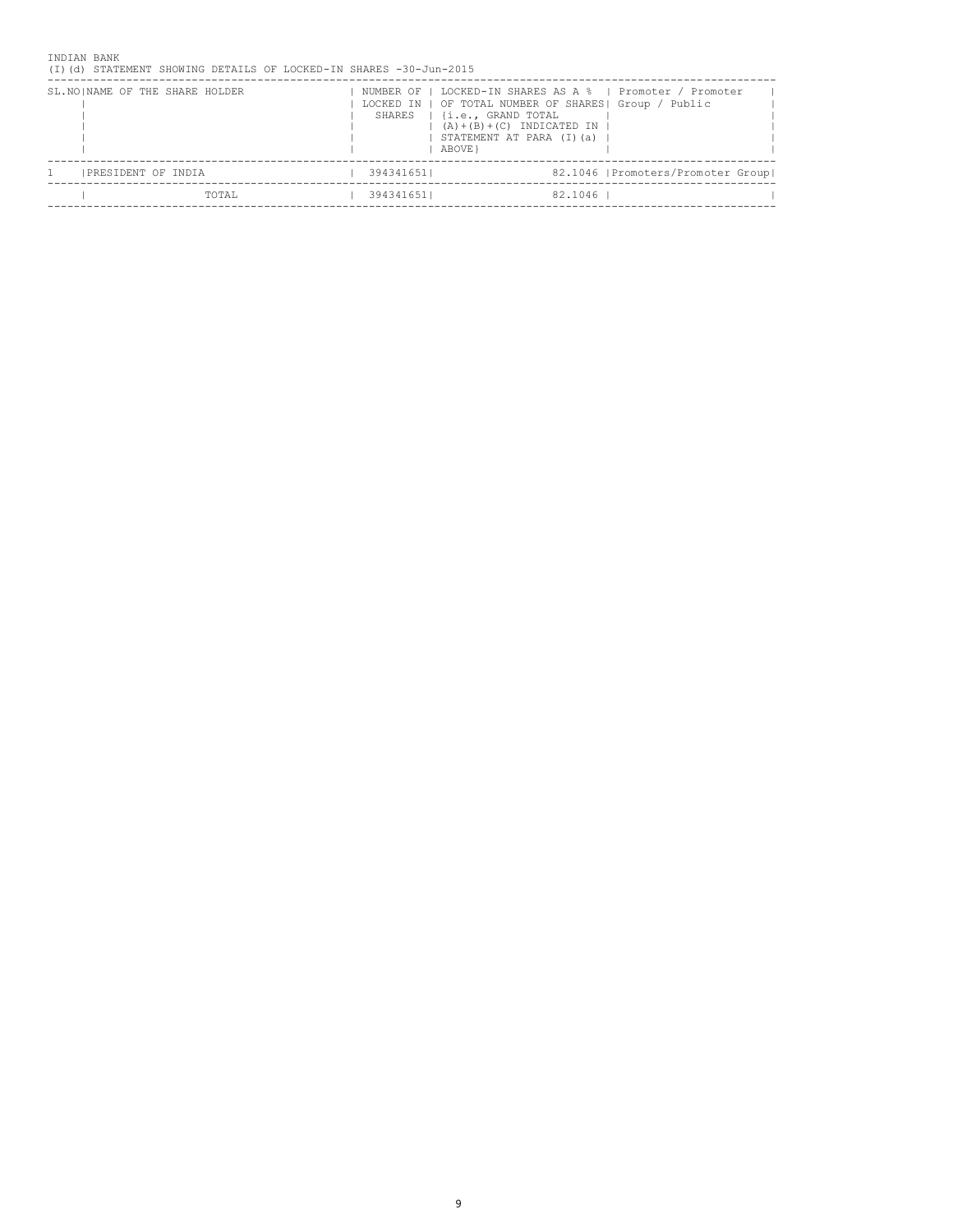INDIAN BANK (I)(d) STATEMENT SHOWING DETAILS OF LOCKED-IN SHARES -30-Jun-2015

| SL. NO   NAME OF THE SHARE HOLDER |       |            | LOCKED IN   OF TOTAL NUMBER OF SHARES  Group / Public<br>SHARES   {i.e., GRAND TOTAL<br>$(A) + (B) + (C)$ INDICATED IN<br>STATEMENT AT PARA (I)(a)<br>ABOVE } |         | NUMBER OF   LOCKED-IN SHARES AS A %   Promoter / Promoter |
|-----------------------------------|-------|------------|---------------------------------------------------------------------------------------------------------------------------------------------------------------|---------|-----------------------------------------------------------|
| PRESIDENT OF INDIA                |       | 394341651। |                                                                                                                                                               |         | 82.1046   Promoters/Promoter Group                        |
|                                   | TOTAL | 3943416511 |                                                                                                                                                               | 82.1046 |                                                           |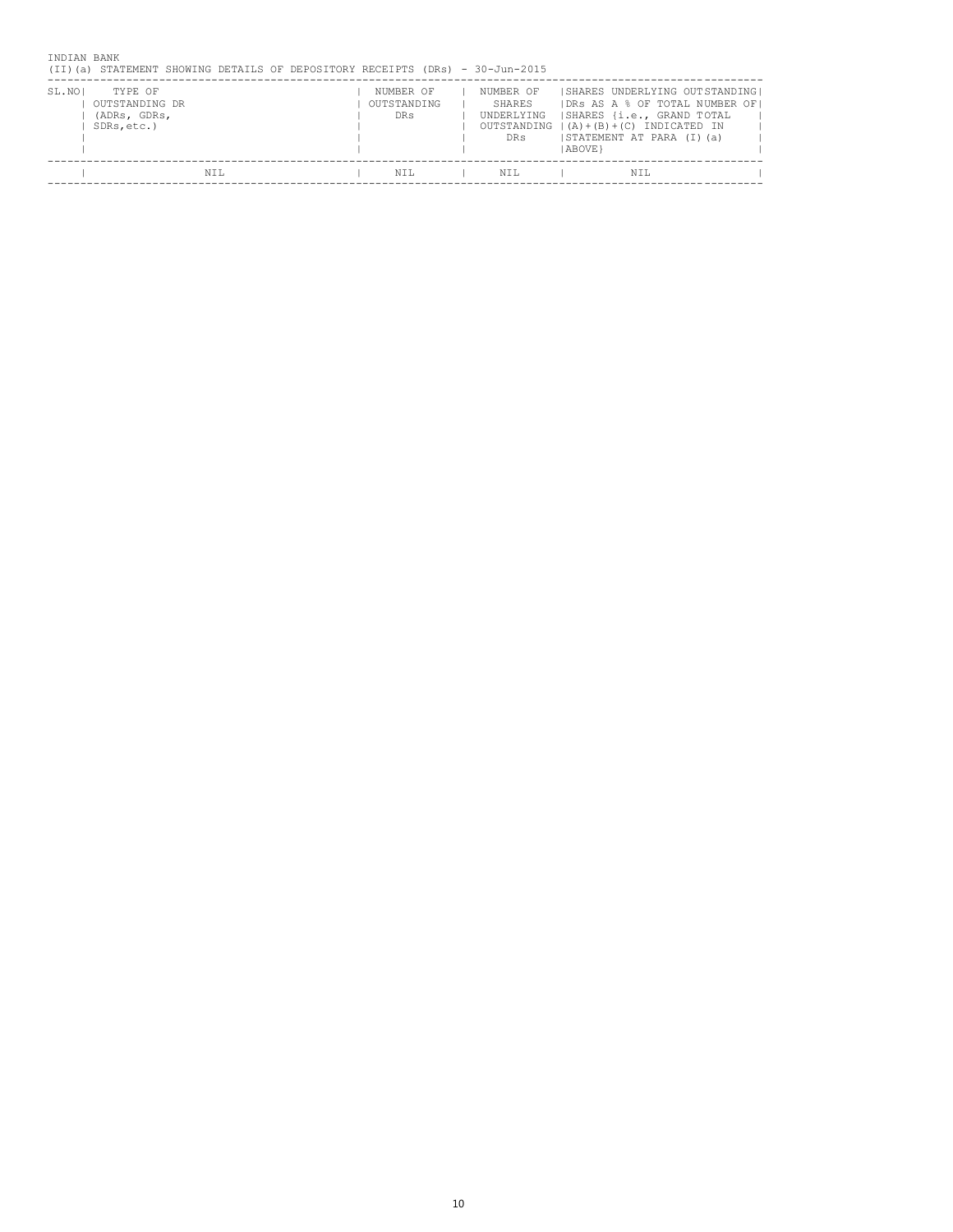| INDIAN BANK<br>(II)(a) | STATEMENT SHOWING DETAILS OF DEPOSITORY RECEIPTS (DRs) - 30-Jun-2015 |  |                                        |  |                                                                     |         |                                                                                    |                                                                   |  |
|------------------------|----------------------------------------------------------------------|--|----------------------------------------|--|---------------------------------------------------------------------|---------|------------------------------------------------------------------------------------|-------------------------------------------------------------------|--|
| SL.NOI<br>SDRs, etc.)  | TYPE OF<br>OUTSTANDING DR<br>(ADRs, GDRs,                            |  | NUMBER OF<br>OUTSTANDING<br><b>DRs</b> |  | NUMBER OF<br>SHARES<br>UNDERLYING<br>OUTSTANDING<br>DR <sub>S</sub> | ABOVE } | SHARES {i.e., GRAND TOTAL<br>(A)+(B)+(C) INDICATED IN<br>STATEMENT AT PARA (I) (a) | SHARES UNDERLYING OUTSTANDING <br>IDRS AS A % OF TOTAL NUMBER OF! |  |
|                        | NTT.                                                                 |  | NTT.                                   |  | NTT.                                                                |         | NTT.                                                                               |                                                                   |  |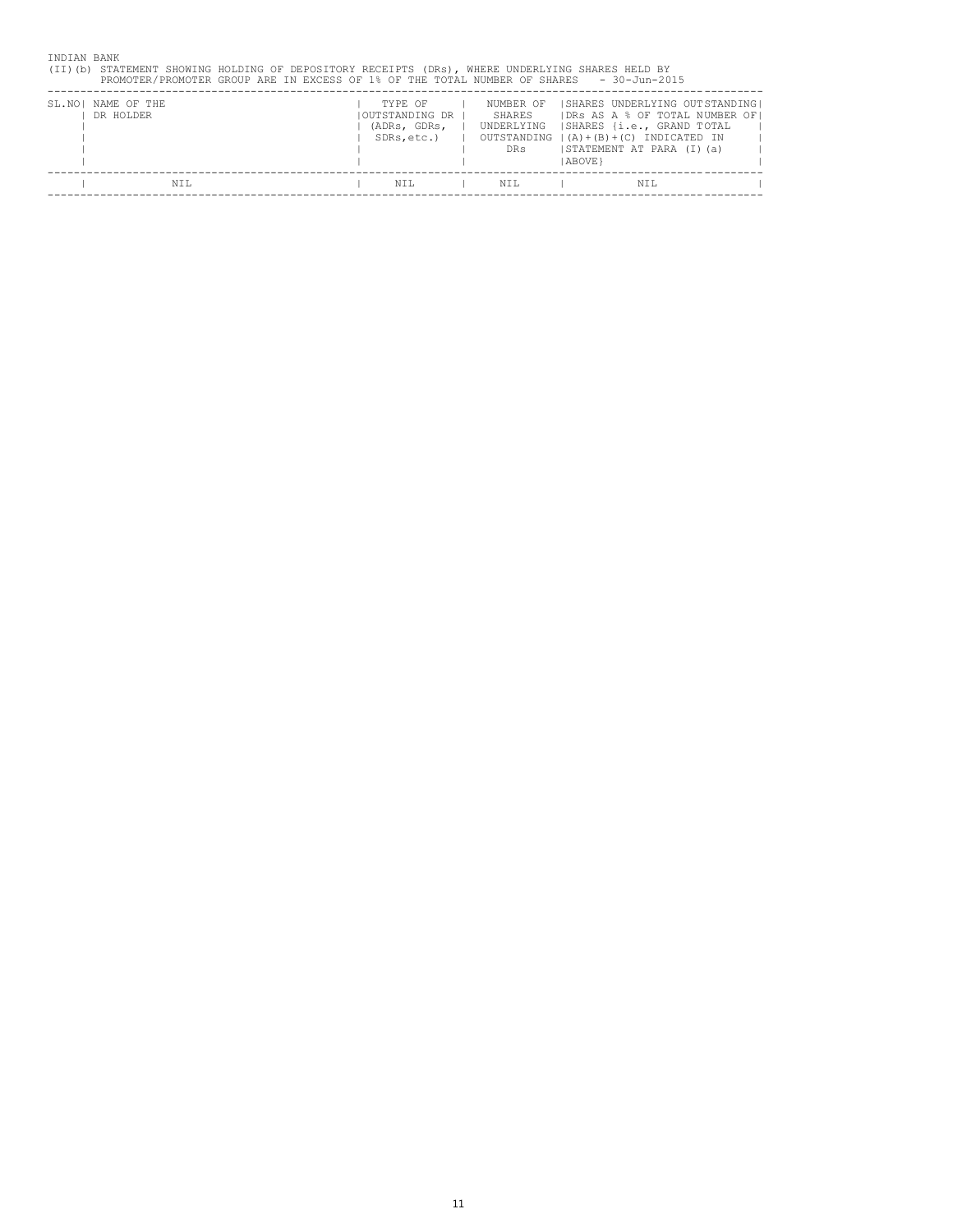| (TI)(b) |                                 | STATEMENT SHOWING HOLDING OF DEPOSITORY RECEIPTS (DRs), WHERE UNDERLYING SHARES HELD BY<br>PROMOTER/PROMOTER GROUP ARE IN EXCESS OF 1% OF THE TOTAL NUMBER OF SHARES |                                                          |                                                                     |                | $-30 - Jun - 2015$                                                                                                                                             |  |
|---------|---------------------------------|----------------------------------------------------------------------------------------------------------------------------------------------------------------------|----------------------------------------------------------|---------------------------------------------------------------------|----------------|----------------------------------------------------------------------------------------------------------------------------------------------------------------|--|
|         | SL.NO! NAME OF THE<br>DR HOLDER |                                                                                                                                                                      | TYPE OF<br>IOUTSTANDING DR<br>(ADRs, GDRs,<br>SDRs.etc.) | NUMBER OF<br>SHARES<br>UNDERLYING<br>OUTSTANDING<br>DR <sub>S</sub> | <b>ABOVE</b> } | SHARES UNDERLYING OUTSTANDING <br>IDRS AS A % OF TOTAL NUMBER OF!<br> SHARES {i.e., GRAND TOTAL<br>  (A) + (B) + (C) INDICATED IN<br>ISTATEMENT AT PARA (I)(a) |  |
|         | NTT.                            |                                                                                                                                                                      | NTT.                                                     | NTT.                                                                |                | NTT.                                                                                                                                                           |  |
|         |                                 |                                                                                                                                                                      |                                                          |                                                                     |                |                                                                                                                                                                |  |

INDIAN BANK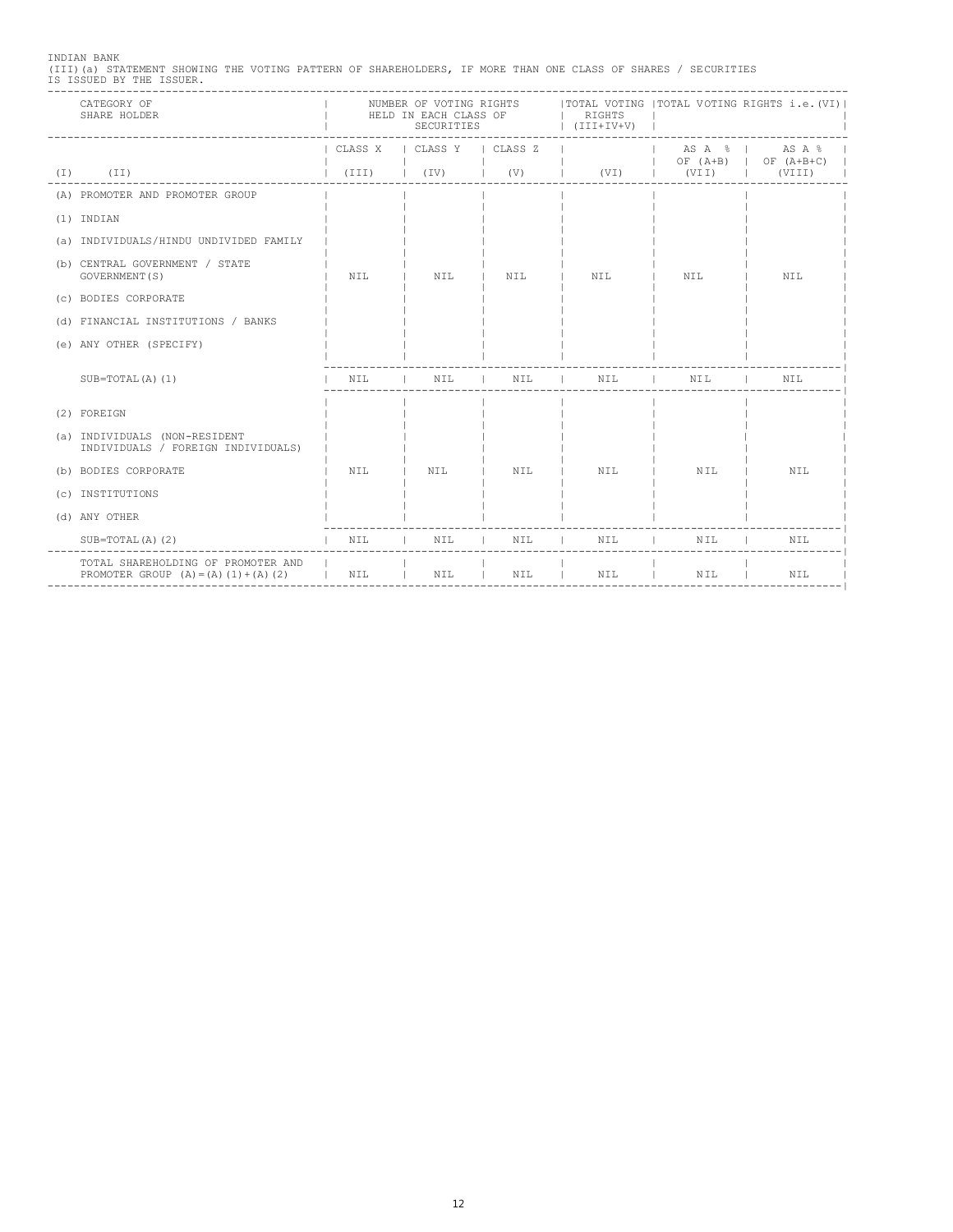INDIAN BANK (III)(a) STATEMENT SHOWING THE VOTING PATTERN OF SHAREHOLDERS, IF MORE THAN ONE CLASS OF SHARES / SECURITIES IS ISSUED BY THE ISSUER. --------------------------------------------------------------------------------------------------------------------------

| CATEGORY OF<br>SHARE HOLDER                                                                                    | NUMBER OF VOTING RIGHTS     TOTAL VOTING   TOTAL VOTING RIGHTS i.e. (VI)  <br>HELD IN EACH CLASS OF<br>SECURITIES |     |                                | RIGHTS<br>$ \quad (JIJI+IV+V)$                                                                                                                                                                                                                                                                                                                                                                                                       |                              |                                 |  |
|----------------------------------------------------------------------------------------------------------------|-------------------------------------------------------------------------------------------------------------------|-----|--------------------------------|--------------------------------------------------------------------------------------------------------------------------------------------------------------------------------------------------------------------------------------------------------------------------------------------------------------------------------------------------------------------------------------------------------------------------------------|------------------------------|---------------------------------|--|
|                                                                                                                | CLASS X   CLASS Y   CLASS Z                                                                                       |     |                                |                                                                                                                                                                                                                                                                                                                                                                                                                                      |                              | $ $ OF (A+B) $ $ OF (A+B+C) $ $ |  |
| $(I)$ $(II)$                                                                                                   |                                                                                                                   |     | the property of the control of | $(III)$ $(IV)$ $(V)$ $(V)$ $(VI)$ $(VII)$ $(VIII)$                                                                                                                                                                                                                                                                                                                                                                                   |                              |                                 |  |
| (A) PROMOTER AND PROMOTER GROUP                                                                                |                                                                                                                   |     |                                |                                                                                                                                                                                                                                                                                                                                                                                                                                      |                              |                                 |  |
| (1) INDIAN                                                                                                     |                                                                                                                   |     |                                |                                                                                                                                                                                                                                                                                                                                                                                                                                      |                              |                                 |  |
| (a) INDIVIDUALS/HINDU UNDIVIDED FAMILY                                                                         |                                                                                                                   |     |                                |                                                                                                                                                                                                                                                                                                                                                                                                                                      |                              |                                 |  |
| (b) CENTRAL GOVERNMENT / STATE<br>GOVERNMENT (S)                                                               | NTT.                                                                                                              | NIL | I NIL                          | NIL                                                                                                                                                                                                                                                                                                                                                                                                                                  | NIL                          | NIL                             |  |
| (c) BODIES CORPORATE                                                                                           |                                                                                                                   |     |                                |                                                                                                                                                                                                                                                                                                                                                                                                                                      |                              |                                 |  |
| (d) FINANCIAL INSTITUTIONS / BANKS                                                                             |                                                                                                                   |     |                                |                                                                                                                                                                                                                                                                                                                                                                                                                                      |                              |                                 |  |
| (e) ANY OTHER (SPECIFY)                                                                                        |                                                                                                                   |     |                                |                                                                                                                                                                                                                                                                                                                                                                                                                                      |                              |                                 |  |
| $SUB=TOTAL(A) (1)$                                                                                             | NTT.                                                                                                              |     |                                | $\begin{tabular}{ccccccccc} & & & & \text{NIL} & & & \text{NIL} & & & \text{NIL} & & \text{NIL} & \text{NIL} & \text{NIL} & \text{NIL} & \text{NIL} & \text{NIL} & \text{NIL} & \text{NIL} & \text{NIL} & \text{NIL} & \text{NIL} & \text{NIL} & \text{NIL} & \text{NIL} & \text{NIL} & \text{NIL} & \text{NIL} & \text{NIL} & \text{NIL} & \text{NIL} & \text{NIL} & \text{NIL} & \text{NIL} & \text{NIL} & \text{NIL} & \text{NIL$ |                              | NIL                             |  |
| (2) FOREIGN                                                                                                    |                                                                                                                   |     |                                |                                                                                                                                                                                                                                                                                                                                                                                                                                      |                              |                                 |  |
| (a) INDIVIDUALS (NON-RESIDENT<br>INDIVIDUALS / FOREIGN INDIVIDUALS)                                            |                                                                                                                   |     |                                |                                                                                                                                                                                                                                                                                                                                                                                                                                      |                              |                                 |  |
| (b) BODIES CORPORATE                                                                                           | NTL.                                                                                                              | NIL | I NIL I NIL                    |                                                                                                                                                                                                                                                                                                                                                                                                                                      | $\overline{\phantom{a}}$ NIL | NIL                             |  |
| (c) INSTITUTIONS                                                                                               |                                                                                                                   |     |                                |                                                                                                                                                                                                                                                                                                                                                                                                                                      |                              |                                 |  |
| (d) ANY OTHER                                                                                                  |                                                                                                                   |     |                                |                                                                                                                                                                                                                                                                                                                                                                                                                                      |                              |                                 |  |
| $SUB=TOTAL(A) (2)$                                                                                             | I NIL                                                                                                             |     |                                | I NIL I NIL I NIL                                                                                                                                                                                                                                                                                                                                                                                                                    | NIL                          | NIL                             |  |
| TOTAL SHAREHOLDING OF PROMOTER AND  <br>PROMOTER GROUP $(A) = (A) (1) + (A) (2)$   NIL   NIL   NIL   NIL   NIL |                                                                                                                   |     |                                |                                                                                                                                                                                                                                                                                                                                                                                                                                      | NIL I                        | NIL                             |  |